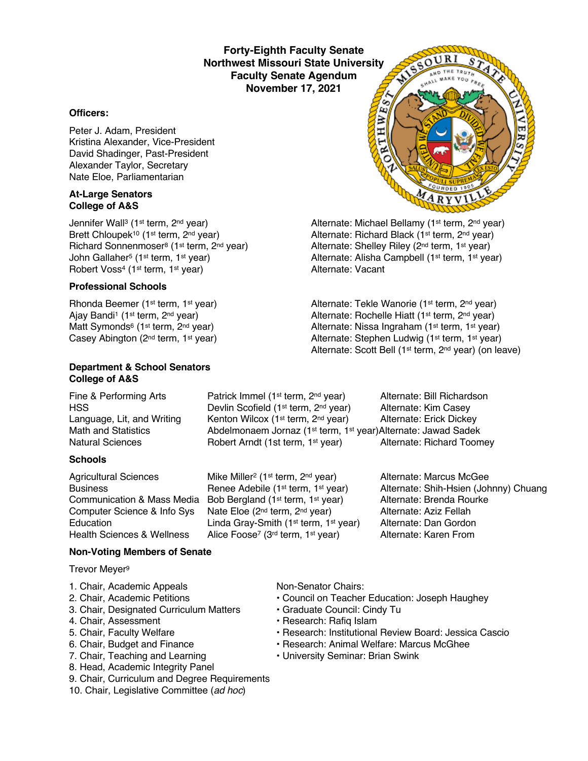**Forty-Eighth Faculty Senate Northwest Missouri State University Faculty Senate Agendum November 17, 2021**

### **Officers:**

Peter J. Adam, President Kristina Alexander, Vice-President David Shadinger, Past-President Alexander Taylor, Secretary Nate Eloe, Parliamentarian

#### **At-Large Senators College of A&S**

Jennifer Wall<sup>3</sup> (1<sup>st</sup> term, 2<sup>nd</sup> year) Alternate: Michael Bellamy (1<sup>st</sup> term, 2<sup>nd</sup> year) Brett Chloupek<sup>10</sup> (1<sup>st</sup> term, 2<sup>nd</sup> year) Alternate: Richard Black (1<sup>st</sup> term, 2<sup>nd</sup> year) Richard Sonnenmoser<sup>8</sup> (1<sup>st</sup> term, 2<sup>nd</sup> year) Alternate: Shelley Riley (2<sup>nd</sup> term, 1<sup>st</sup> year) John Gallaher<sup>5</sup> (1st term, 1st year) Alternate: Alisha Campbell (1st term, 1st year)<br>
Alternate: Vacant<br>
Alternate: Vacant Robert Voss<sup>4</sup> (1<sup>st</sup> term, 1<sup>st</sup> year)

### **Professional Schools**

Rhonda Beemer (1<sup>st</sup> term, 1<sup>st</sup> year) Alternate: Tekle Wanorie (1<sup>st</sup> term, 2<sup>nd</sup> year) Ajay Bandi<sup>1</sup> (1<sup>st</sup> term, 2<sup>nd</sup> year) Alternate: Rochelle Hiatt (1<sup>st</sup> term, 2<sup>nd</sup> year) Matt Symonds<sup>6</sup> (1<sup>st</sup> term, 2<sup>nd</sup> year) <br>Casey Abington (2<sup>nd</sup> term, 1<sup>st</sup> year) <br>Alternate: Stephen Ludwig (1<sup>st</sup> term, 1<sup>st</sup> year)

### **Department & School Senators College of A&S**

### **Schools**

Agricultural Sciences Mike Miller<sup>2</sup> (1<sup>st</sup> term, 2<sup>nd</sup> year) Alternate: Marcus McGee Communication & Mass Media Bob Bergland (1st term, 1st year) Alternate: Brenda Rourke Computer Science & Info Sys Nate Eloe (2<sup>nd</sup> term, 2<sup>nd</sup> year) Alternate: Aziz Fellah<br>Education Linda Grav-Smith (1<sup>st</sup> term, 1<sup>st</sup> year) Alternate: Dan Gordon Education Linda Gray-Smith (1<sup>st</sup> term, 1<sup>st</sup> year) Alternate: Dan Gordon<br>Health Sciences & Wellness Alice Foose<sup>7</sup> (3<sup>rd</sup> term, 1<sup>st</sup> year) Alternate: Karen From

Fine & Performing Arts **Patrick Immel (1st term, 2nd year)** Alternate: Bill Richardson HSS **Example 20** Devlin Scofield (1<sup>st</sup> term, 2<sup>nd</sup> year) Alternate: Kim Casey Language, Lit, and Writing Kenton Wilcox (1<sup>st</sup> term, 2<sup>nd</sup> year) Alternate: Erick Dickey Math and Statistics **Abdelmonaem Jornaz (1st term, 1st year)Alternate: Jawad Sadek** Natural Sciences **Robert Arndt (1st term, 1st year)** Alternate: Richard Toomey

Business **Renee Adebile (1st term, 1st year)** Alternate: Shih-Hsien (Johnny) Chuang

### **Non-Voting Members of Senate**

Trevor Meyer9

- 1. Chair, Academic Appeals Non-Senator Chairs:
- 
- 3. Chair, Designated Curriculum Matters Graduate Council: Cindy Tu
- 
- 
- 
- 
- 8. Head, Academic Integrity Panel
- 9. Chair, Curriculum and Degree Requirements
- 10. Chair, Legislative Committee (*ad hoc*)

- 2. Chair, Academic Petitions Council on Teacher Education: Joseph Haughey
	-
- 4. Chair, Assessment **Francisco Exercise Research: Rafiq Islam**
- 5. Chair, Faculty Welfare The State of Pessarch: Institutional Review Board: Jessica Cascio
- 6. Chair, Budget and Finance Research: Animal Welfare: Marcus McGhee
- 7. Chair, Teaching and Learning  **University Seminar: Brian Swink**



Alternate: Stephen Ludwig (1st term, 1st year) Alternate: Scott Bell (1st term, 2nd year) (on leave)

Alice Foose<sup>7</sup> (3<sup>rd</sup> term, 1<sup>st</sup> year)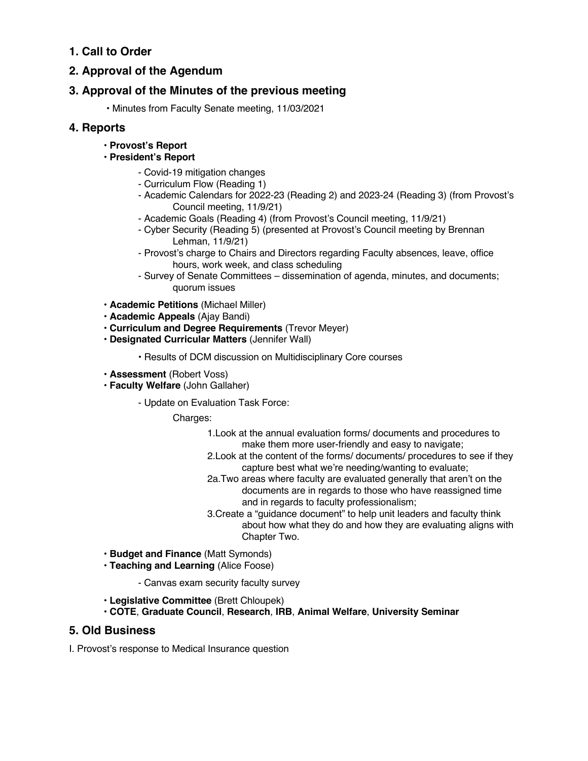# **1. Call to Order**

## **2. Approval of the Agendum**

## **3. Approval of the Minutes of the previous meeting**

• Minutes from Faculty Senate meeting, 11/03/2021

### **4. Reports**

• **Provost's Report**

### • **President's Report**

- Covid-19 mitigation changes
- Curriculum Flow (Reading 1)
- Academic Calendars for 2022-23 (Reading 2) and 2023-24 (Reading 3) (from Provost's Council meeting, 11/9/21)
- Academic Goals (Reading 4) (from Provost's Council meeting, 11/9/21)
- Cyber Security (Reading 5) (presented at Provost's Council meeting by Brennan Lehman, 11/9/21)
- Provost's charge to Chairs and Directors regarding Faculty absences, leave, office hours, work week, and class scheduling
- Survey of Senate Committees dissemination of agenda, minutes, and documents; quorum issues
- **Academic Petitions** (Michael Miller)
- **Academic Appeals** (Ajay Bandi)
- **Curriculum and Degree Requirements** (Trevor Meyer)
- **Designated Curricular Matters** (Jennifer Wall)
	- Results of DCM discussion on Multidisciplinary Core courses
- **Assessment** (Robert Voss)
- **Faculty Welfare** (John Gallaher)
	- Update on Evaluation Task Force:

Charges:

- 1.Look at the annual evaluation forms/ documents and procedures to make them more user-friendly and easy to navigate;
- 2.Look at the content of the forms/ documents/ procedures to see if they capture best what we're needing/wanting to evaluate;
- 2a.Two areas where faculty are evaluated generally that aren't on the documents are in regards to those who have reassigned time and in regards to faculty professionalism;
- 3.Create a "guidance document" to help unit leaders and faculty think about how what they do and how they are evaluating aligns with Chapter Two.
- **Budget and Finance** (Matt Symonds)
- **Teaching and Learning** (Alice Foose)
	- Canvas exam security faculty survey
- **Legislative Committee** (Brett Chloupek)
- **COTE**, **Graduate Council**, **Research**, **IRB**, **Animal Welfare**, **University Seminar**

### **5. Old Business**

I. Provost's response to Medical Insurance question